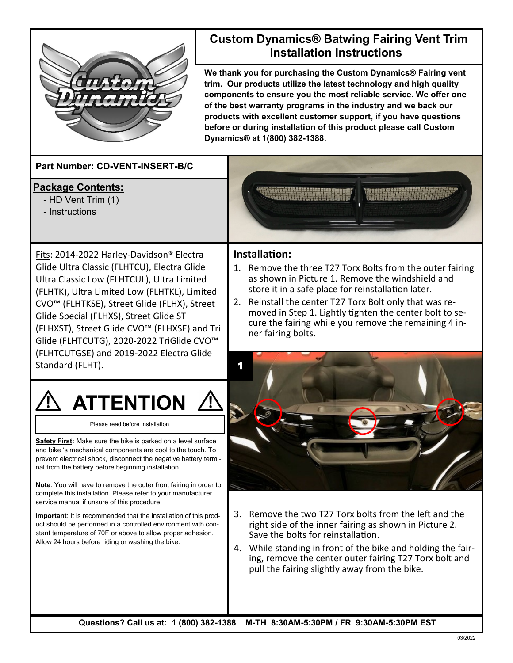

## **Custom Dynamics® Batwing Fairing Vent Trim Installation Instructions**

**We thank you for purchasing the Custom Dynamics® Fairing vent trim. Our products utilize the latest technology and high quality components to ensure you the most reliable service. We offer one of the best warranty programs in the industry and we back our products with excellent customer support, if you have questions before or during installation of this product please call Custom Dynamics® at 1(800) 382-1388.**

**Part Number: CD-VENT-INSERT-B/C**

- **Package Contents:**
	- HD Vent Trim (1)
	- Instructions

as shown in Picture 1. Remove the windshield and store it in a safe place for reinstallation later.

moved in Step 1. Lightly tighten the center bolt to secure the fairing while you remove the remaining 4 in-

## **Installation:** 1. Remove the three T27 Torx Bolts from the outer fairing

ner fairing bolts.

Fits: 2014-2022 Harley-Davidson® Electra Glide Ultra Classic (FLHTCU), Electra Glide Ultra Classic Low (FLHTCUL), Ultra Limited (FLHTK), Ultra Limited Low (FLHTKL), Limited CVO™ (FLHTKSE), Street Glide (FLHX), Street Glide Special (FLHXS), Street Glide ST (FLHXST), Street Glide CVO™ (FLHXSE) and Tri Glide (FLHTCUTG), 2020-2022 TriGlide CVO™ (FLHTCUTGSE) and 2019-2022 Electra Glide Standard (FLHT). 2. Reinstall the center T27 Torx Bolt only that was re-



Please read before Installation

**Safety First:** Make sure the bike is parked on a level surface and bike 's mechanical components are cool to the touch. To prevent electrical shock, disconnect the negative battery terminal from the battery before beginning installation.

**Note**: You will have to remove the outer front fairing in order to complete this installation. Please refer to your manufacturer service manual if unsure of this procedure.

**Important**: It is recommended that the installation of this product should be performed in a controlled environment with constant temperature of 70F or above to allow proper adhesion. Allow 24 hours before riding or washing the bike.



- 3. Remove the two T27 Torx bolts from the left and the right side of the inner fairing as shown in Picture 2. Save the bolts for reinstallation.
- 4. While standing in front of the bike and holding the fairing, remove the center outer fairing T27 Torx bolt and pull the fairing slightly away from the bike.

**Questions? Call us at: 1 (800) 382-1388 M-TH 8:30AM-5:30PM / FR 9:30AM-5:30PM EST**